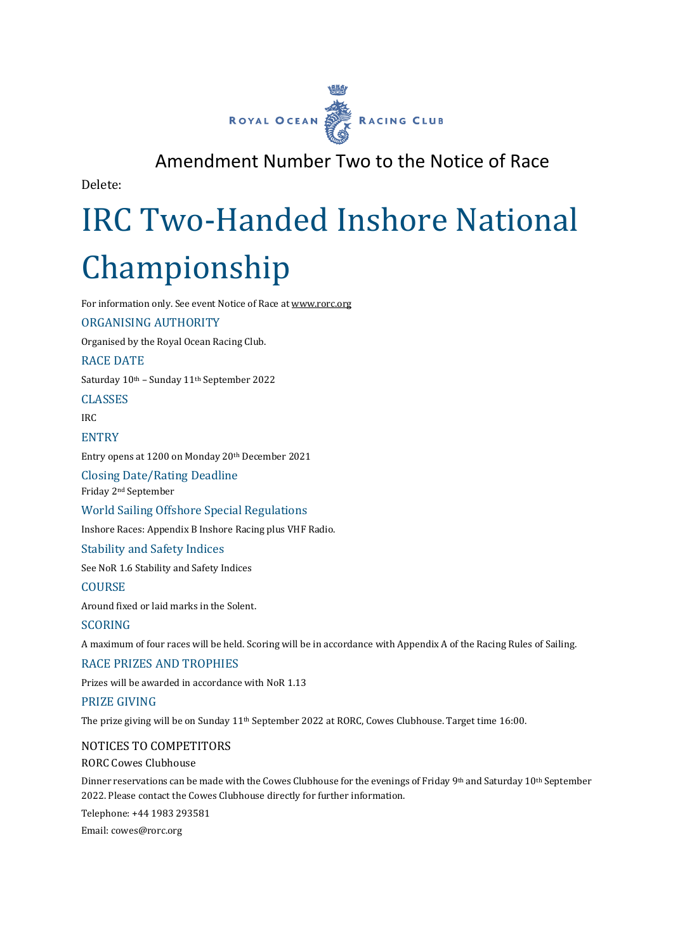

# Amendment Number Two to the Notice of Race

Delete:

# IRC Two-Handed Inshore National Championship

For information only. See event Notice of Race at [www.rorc.org](http://www.rorc.org/)

### ORGANISING AUTHORITY

Organised by the Royal Ocean Racing Club.

### RACE DATE

Saturday 10th – Sunday 11th September 2022

CLASSES

IRC

### **ENTRY**

Entry opens at 1200 on Monday 20th December 2021

Closing Date/Rating Deadline Friday 2nd September

World Sailing Offshore Special Regulations

Inshore Races: Appendix B Inshore Racing plus VHF Radio.

Stability and Safety Indices

See NoR 1.6 Stability and Safety Indices

**COURSE** 

Around fixed or laid marks in the Solent.

#### SCORING

A maximum of four races will be held. Scoring will be in accordance with Appendix A of the Racing Rules of Sailing.

#### RACE PRIZES AND TROPHIES

Prizes will be awarded in accordance with NoR 1.13

# PRIZE GIVING

The prize giving will be on Sunday 11th September 2022 at RORC, Cowes Clubhouse. Target time 16:00.

#### NOTICES TO COMPETITORS

RORC Cowes Clubhouse

Dinner reservations can be made with the Cowes Clubhouse for the evenings of Friday 9<sup>th</sup> and Saturday 10<sup>th</sup> September 2022. Please contact the Cowes Clubhouse directly for further information.

Telephone: +44 1983 293581

Email: cowes@rorc.org